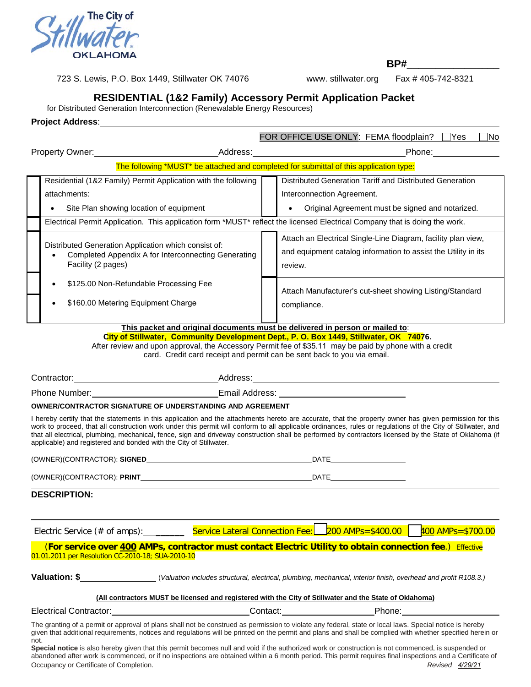

723 S. Lewis, P.O. Box 1449, Stillwater OK 74076 www. stillwater.org Fax # 405-742-8321

**BP#\_\_\_\_\_\_\_\_\_\_\_\_\_\_\_\_** 

## **RESIDENTIAL (1&2 Family) Accessory Permit Application Packet**

for Distributed Generation Interconnection (Renewalable Energy Resources)

**Project Address**:

|                                                                              |                                                                                                                                                                                                                                                                                                                                                                                                                                                                                                                                                                                                                                                                                       |  |             | FOR OFFICE USE ONLY: FEMA floodplain? Yes                                                                                                  |                                                                                                               | __ No |
|------------------------------------------------------------------------------|---------------------------------------------------------------------------------------------------------------------------------------------------------------------------------------------------------------------------------------------------------------------------------------------------------------------------------------------------------------------------------------------------------------------------------------------------------------------------------------------------------------------------------------------------------------------------------------------------------------------------------------------------------------------------------------|--|-------------|--------------------------------------------------------------------------------------------------------------------------------------------|---------------------------------------------------------------------------------------------------------------|-------|
|                                                                              |                                                                                                                                                                                                                                                                                                                                                                                                                                                                                                                                                                                                                                                                                       |  |             |                                                                                                                                            |                                                                                                               |       |
|                                                                              | The following *MUST* be attached and completed for submittal of this application type:                                                                                                                                                                                                                                                                                                                                                                                                                                                                                                                                                                                                |  |             |                                                                                                                                            |                                                                                                               |       |
|                                                                              | Residential (1&2 Family) Permit Application with the following<br>attachments:<br>Site Plan showing location of equipment                                                                                                                                                                                                                                                                                                                                                                                                                                                                                                                                                             |  |             | Distributed Generation Tariff and Distributed Generation<br>Interconnection Agreement.<br>Original Agreement must be signed and notarized. |                                                                                                               |       |
|                                                                              | Electrical Permit Application. This application form *MUST* reflect the licensed Electrical Company that is doing the work.                                                                                                                                                                                                                                                                                                                                                                                                                                                                                                                                                           |  |             |                                                                                                                                            |                                                                                                               |       |
|                                                                              | Distributed Generation Application which consist of:<br>Completed Appendix A for Interconnecting Generating<br>Facility (2 pages)                                                                                                                                                                                                                                                                                                                                                                                                                                                                                                                                                     |  | review.     | Attach an Electrical Single-Line Diagram, facility plan view,<br>and equipment catalog information to assist the Utility in its            |                                                                                                               |       |
|                                                                              | \$125.00 Non-Refundable Processing Fee<br>\$160.00 Metering Equipment Charge<br>$\bullet$                                                                                                                                                                                                                                                                                                                                                                                                                                                                                                                                                                                             |  | compliance. | Attach Manufacturer's cut-sheet showing Listing/Standard                                                                                   |                                                                                                               |       |
| This packet and original documents must be delivered in person or mailed to: |                                                                                                                                                                                                                                                                                                                                                                                                                                                                                                                                                                                                                                                                                       |  |             |                                                                                                                                            |                                                                                                               |       |
|                                                                              | City of Stillwater, Community Development Dept., P. O. Box 1449, Stillwater, OK 74076.<br>After review and upon approval, the Accessory Permit fee of \$35.11 may be paid by phone with a credit<br>card. Credit card receipt and permit can be sent back to you via email.                                                                                                                                                                                                                                                                                                                                                                                                           |  |             |                                                                                                                                            |                                                                                                               |       |
|                                                                              |                                                                                                                                                                                                                                                                                                                                                                                                                                                                                                                                                                                                                                                                                       |  |             |                                                                                                                                            |                                                                                                               |       |
|                                                                              |                                                                                                                                                                                                                                                                                                                                                                                                                                                                                                                                                                                                                                                                                       |  |             |                                                                                                                                            |                                                                                                               |       |
|                                                                              | OWNER/CONTRACTOR SIGNATURE OF UNDERSTANDING AND AGREEMENT                                                                                                                                                                                                                                                                                                                                                                                                                                                                                                                                                                                                                             |  |             |                                                                                                                                            |                                                                                                               |       |
|                                                                              | I hereby certify that the statements in this application and the attachments hereto are accurate, that the property owner has given permission for this<br>work to proceed, that all construction work under this permit will conform to all applicable ordinances, rules or regulations of the City of Stillwater, and<br>that all electrical, plumbing, mechanical, fence, sign and driveway construction shall be performed by contractors licensed by the State of Oklahoma (if<br>applicable) and registered and bonded with the City of Stillwater.                                                                                                                             |  |             |                                                                                                                                            |                                                                                                               |       |
|                                                                              |                                                                                                                                                                                                                                                                                                                                                                                                                                                                                                                                                                                                                                                                                       |  |             |                                                                                                                                            |                                                                                                               |       |
|                                                                              |                                                                                                                                                                                                                                                                                                                                                                                                                                                                                                                                                                                                                                                                                       |  |             |                                                                                                                                            |                                                                                                               |       |
|                                                                              | <b>DESCRIPTION:</b>                                                                                                                                                                                                                                                                                                                                                                                                                                                                                                                                                                                                                                                                   |  |             |                                                                                                                                            |                                                                                                               |       |
|                                                                              | Electric Service (# of amps): ___________ Service Lateral Connection Fee: 200 AMPs=\$400.00                                                                                                                                                                                                                                                                                                                                                                                                                                                                                                                                                                                           |  |             |                                                                                                                                            | $400$ AMPs=\$700.00                                                                                           |       |
|                                                                              | (For service over 400 AMPs, contractor must contact Electric Utility to obtain connection fee.) Effective<br>01.01.2011 per Resolution CC-2010-18; SUA-2010-10                                                                                                                                                                                                                                                                                                                                                                                                                                                                                                                        |  |             |                                                                                                                                            |                                                                                                               |       |
|                                                                              | Valuation: \$_______________________(Valuation includes structural, electrical, plumbing, mechanical, interior finish, overhead and profit R108.3.)                                                                                                                                                                                                                                                                                                                                                                                                                                                                                                                                   |  |             |                                                                                                                                            |                                                                                                               |       |
|                                                                              | (All contractors MUST be licensed and registered with the City of Stillwater and the State of Oklahoma)                                                                                                                                                                                                                                                                                                                                                                                                                                                                                                                                                                               |  |             |                                                                                                                                            |                                                                                                               |       |
|                                                                              | Electrical Contractor: New York Contractor:                                                                                                                                                                                                                                                                                                                                                                                                                                                                                                                                                                                                                                           |  |             |                                                                                                                                            | Phone: 2000 2010 2010 2010 2020 2020 2021 2021 2022 2021 2021 2021 2021 2021 2022 2021 2021 2021 2021 2021 20 |       |
| not.                                                                         | The granting of a permit or approval of plans shall not be construed as permission to violate any federal, state or local laws. Special notice is hereby<br>given that additional requirements, notices and regulations will be printed on the permit and plans and shall be complied with whether specified herein or<br>Special notice is also hereby given that this permit becomes null and void if the authorized work or construction is not commenced, is suspended or<br>abandoned after work is commenced, or if no inspections are obtained within a 6 month period. This permit requires final inspections and a Certificate of<br>Occupancy or Certificate of Completion. |  |             |                                                                                                                                            | Revised 4/29/21                                                                                               |       |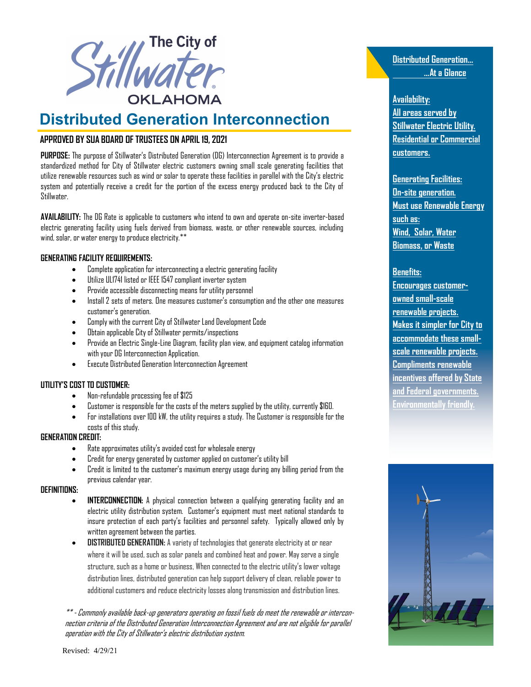

# **Distributed Generation Interconnection**

### **APPROVED BY SUA BOARD OF TRUSTEES ON APRIL 19, 2021**

**PURPOSE:** The purpose of Stillwater's Distributed Generation (DG) Interconnection Agreement is to provide a standardized method for City of Stillwater electric customers owning small scale generating facilities that utilize renewable resources such as wind or solar to operate these facilities in parallel with the City's electric system and potentially receive a credit for the portion of the excess energy produced back to the City of Stillwater.

**AVAILABILITY:** The DG Rate is applicable to customers who intend to own and operate on-site inverter-based electric generating facility using fuels derived from biomass, waste, or other renewable sources, including wind, solar, or water energy to produce electricity.\*\*

#### **GENERATING FACILITY REQUIREMENTS:**

- Complete application for interconnecting a electric generating facility
- Utilize UL1741 listed or IEEE 1547 compliant inverter system
- Provide accessible disconnecting means for utility personnel
- Install 2 sets of meters. One measures customer's consumption and the other one measures customer's generation.
- Comply with the current City of Stillwater Land Development Code
- Obtain applicable City of Stillwater permits/inspections
- Provide an Electric Single-Line Diagram, facility plan view, and equipment catalog information with your DG Interconnection Application.
- Execute Distributed Generation Interconnection Agreement

#### **UTILITY'S COST TO CUSTOMER:**

- Non-refundable processing fee of \$125
- Customer is responsible for the costs of the meters supplied by the utility, currently \$160.
- For installations over 100 kW, the utility requires a study. The Customer is responsible for the costs of this study.

#### **GENERATION CREDIT:**

- Rate approximates utility's avoided cost for wholesale energy
- Credit for energy generated by customer applied on customer's utility bill
- Credit is limited to the customer's maximum energy usage during any billing period from the previous calendar year.

#### **DEFINITIONS:**

- **INTERCONNECTION:** A physical connection between a qualifying generating facility and an electric utility distribution system. Customer's equipment must meet national standards to insure protection of each party's facilities and personnel safety. Typically allowed only by written agreement between the parties.
- **DISTRIBUTED GENERATION:** A variety of technologies that generate electricity at or near where it will be used, such as solar panels and combined heat and power. May serve a single structure, such as a home or business, When connected to the electric utility's lower voltage distribution lines, distributed generation can help support delivery of clean, reliable power to additional customers and reduce electricity losses along transmission and distribution lines.

\*\* - Commonly available back-up generators operating on fossil fuels do meet the renewable or interconnection criteria of the Distributed Generation Interconnection Agreement and are not eligible for parallel operation with the City of Stillwater's electric distribution system.

**Distributed Generation... …At a Glance**

#### **Availability:**

**All areas served by Stillwater Electric Utility. Residential or Commercial customers.** 

**Generating Facilities: On-site generation. Must use Renewable Energy such as: Wind, Solar, Water Biomass, or Waste** 

#### **Benefits:**

**Encourages customerowned small-scale renewable projects. Makes it simpler for City to accommodate these smallscale renewable projects. Compliments renewable incentives offered by State and Federal governments. Environmentally friendly.** 

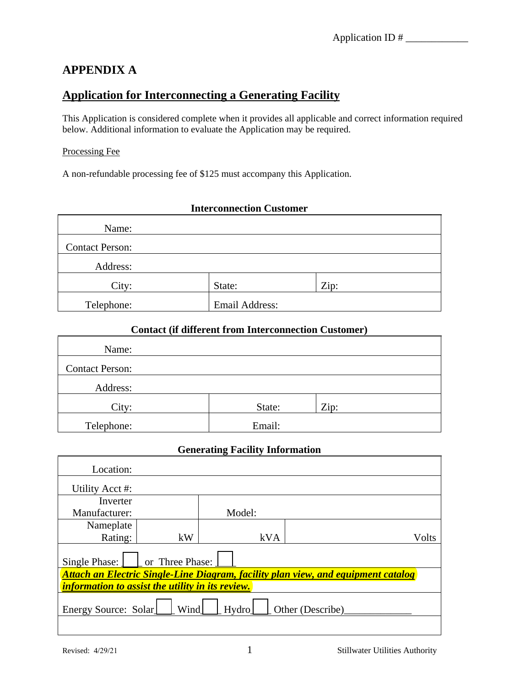## **APPENDIX A**

## **Application for Interconnecting a Generating Facility**

This Application is considered complete when it provides all applicable and correct information required below. Additional information to evaluate the Application may be required.

#### Processing Fee

A non-refundable processing fee of \$125 must accompany this Application.

# **Interconnection Customer**  Name: Contact Person: Address: City: State: 2ip: Telephone: Email Address:

## **Contact (if different from Interconnection Customer)**

| Name:                  |        |      |  |
|------------------------|--------|------|--|
| <b>Contact Person:</b> |        |      |  |
| Address:               |        |      |  |
| City:                  | State: | Zip: |  |
| Telephone:             | Email: |      |  |

### **Generating Facility Information**

| Location:                                                                         |    |        |       |  |
|-----------------------------------------------------------------------------------|----|--------|-------|--|
| Utility Acct #:                                                                   |    |        |       |  |
| Inverter                                                                          |    |        |       |  |
| Manufacturer:                                                                     |    | Model: |       |  |
| Nameplate                                                                         |    |        |       |  |
| Rating:                                                                           | kW | kVA    | Volts |  |
| or Three Phase:<br>Single Phase:                                                  |    |        |       |  |
| Attach an Electric Single-Line Diagram, facility plan view, and equipment catalog |    |        |       |  |
| <i>information to assist the utility in its review.</i>                           |    |        |       |  |
| Wind<br>Energy Source: Solar<br>Hydro<br>Other (Describe)                         |    |        |       |  |
|                                                                                   |    |        |       |  |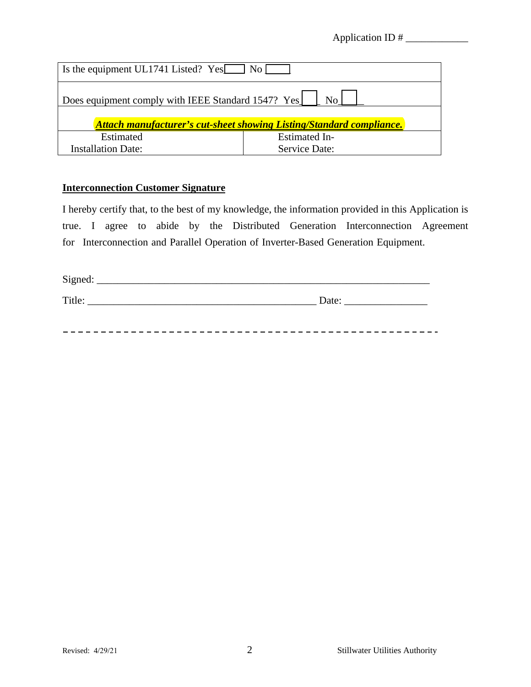Application ID #

| Is the equipment UL1741 Listed? Yes No [                                    |               |  |  |
|-----------------------------------------------------------------------------|---------------|--|--|
| Does equipment comply with IEEE Standard 1547? Yes<br>N <sub>0</sub>        |               |  |  |
| <b>Attach manufacturer's cut-sheet showing Listing/Standard compliance.</b> |               |  |  |
| Estimated                                                                   | Estimated In- |  |  |
| <b>Installation Date:</b>                                                   | Service Date: |  |  |

## **Interconnection Customer Signature**

I hereby certify that, to the best of my knowledge, the information provided in this Application is true. I agree to abide by the Distributed Generation Interconnection Agreement for Interconnection and Parallel Operation of Inverter-Based Generation Equipment.

| Signed: |       |
|---------|-------|
| Title:  | Date: |
|         |       |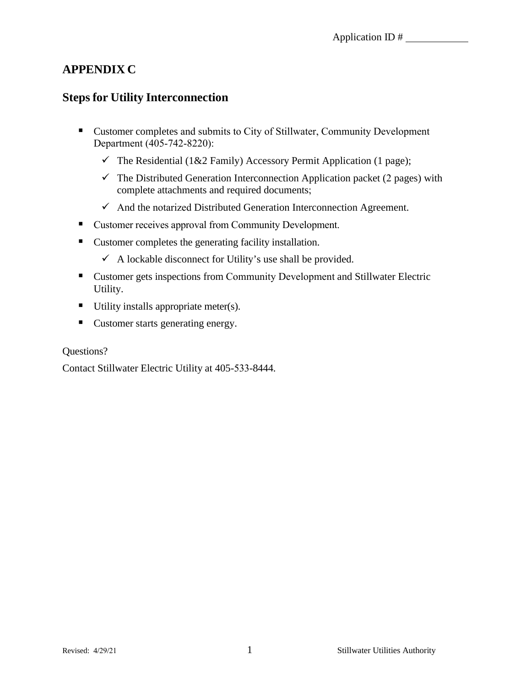## **APPENDIX C**

## **Steps for Utility Interconnection**

- Customer completes and submits to City of Stillwater, Community Development Department (405-742-8220):
	- $\checkmark$  The Residential (1&2 Family) Accessory Permit Application (1 page);
	- $\checkmark$  The Distributed Generation Interconnection Application packet (2 pages) with complete attachments and required documents;
	- $\checkmark$  And the notarized Distributed Generation Interconnection Agreement.
- Customer receives approval from Community Development.
- Customer completes the generating facility installation.
	- $\checkmark$  A lockable disconnect for Utility's use shall be provided.
- Customer gets inspections from Community Development and Stillwater Electric Utility.
- $\blacksquare$  Utility installs appropriate meter(s).
- Customer starts generating energy.

## Questions?

Contact Stillwater Electric Utility at 405-533-8444.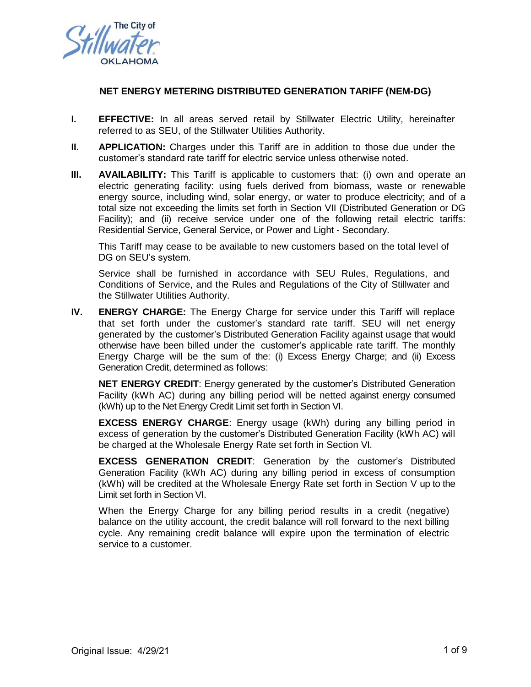

#### **NET ENERGY METERING DISTRIBUTED GENERATION TARIFF (NEM-DG)**

- **I. EFFECTIVE:** In all areas served retail by Stillwater Electric Utility, hereinafter referred to as SEU, of the Stillwater Utilities Authority.
- **II. APPLICATION:** Charges under this Tariff are in addition to those due under the customer's standard rate tariff for electric service unless otherwise noted.
- **III. AVAILABILITY:** This Tariff is applicable to customers that: (i) own and operate an electric generating facility: using fuels derived from biomass, waste or renewable energy source, including wind, solar energy, or water to produce electricity; and of a total size not exceeding the limits set forth in Section [VII](#page-7-0) (Distributed Generation or DG Facility); and (ii) receive service under one of the following retail electric tariffs: Residential Service, General Service, or Power and Light - Secondary.

This Tariff may cease to be available to new customers based on the total level of DG on SEU's system.

Service shall be furnished in accordance with SEU Rules, Regulations, and Conditions of Service, and the Rules and Regulations of the City of Stillwater and the Stillwater Utilities Authority.

<span id="page-5-0"></span>**IV. ENERGY CHARGE:** The Energy Charge for service under this Tariff will replace that set forth under the customer's standard rate tariff. SEU will net energy generated by the customer's Distributed Generation Facility against usage that would otherwise have been billed under the customer's applicable rate tariff. The monthly Energy Charge will be the sum of the: (i) Excess Energy Charge; and (ii) Excess Generation Credit, determined as follows:

**NET ENERGY CREDIT**: Energy generated by the customer's Distributed Generation Facility (kWh AC) during any billing period will be netted against energy consumed (kWh) up to the Net Energy Credit Limit set forth in Section [VI.](#page-6-0)

**EXCESS ENERGY CHARGE**: Energy usage (kWh) during any billing period in excess of generation by the customer's Distributed Generation Facility (kWh AC) will be charged at the Wholesale Energy Rate set forth in Section [VI.](#page-6-0)

**EXCESS GENERATION CREDIT**: Generation by the customer's Distributed Generation Facility (kWh AC) during any billing period in excess of consumption (kWh) will be credited at the Wholesale Energy Rate set forth in Section [V](#page-6-1) up to the Limit set forth in Section [VI.](#page-6-0)

When the Energy Charge for any billing period results in a credit (negative) balance on the utility account, the credit balance will roll forward to the next billing cycle. Any remaining credit balance will expire upon the termination of electric service to a customer.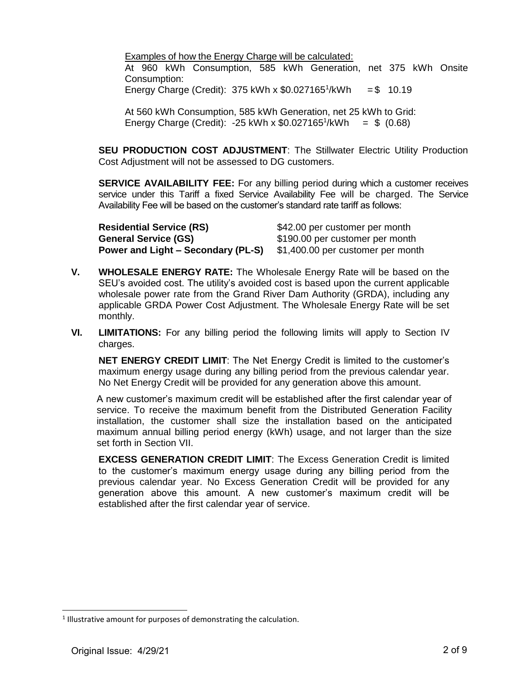Examples of how the Energy Charge will be calculated: At 960 kWh Consumption, 585 kWh Generation, net 375 kWh Onsite Consumption: Energy Charge (Credit):  $375$  kWh x \$0.027165<sup>1</sup>/kWh  $= $ 10.19$ 

<span id="page-6-2"></span>At 560 kWh Consumption, 585 kWh Generation, net 25 kWh to Grid: Energy Charge (Credit): -25 kWh x  $$0.027165^1$  $$0.027165^1$  $$0.027165^1$ /kWh =  $$$  (0.68)

**SEU PRODUCTION COST ADJUSTMENT:** The Stillwater Electric Utility Production Cost Adjustment will not be assessed to DG customers.

**SERVICE AVAILABILITY FEE:** For any billing period during which a customer receives service under this Tariff a fixed Service Availability Fee will be charged. The Service Availability Fee will be based on the customer's standard rate tariff as follows:

| <b>Residential Service (RS)</b>    | \$42.00 per customer per month    |
|------------------------------------|-----------------------------------|
| <b>General Service (GS)</b>        | \$190.00 per customer per month   |
| Power and Light – Secondary (PL-S) | \$1,400.00 per customer per month |

- <span id="page-6-1"></span>**V. WHOLESALE ENERGY RATE:** The Wholesale Energy Rate will be based on the SEU's avoided cost. The utility's avoided cost is based upon the current applicable wholesale power rate from the Grand River Dam Authority (GRDA), including any applicable GRDA Power Cost Adjustment. The Wholesale Energy Rate will be set monthly.
- <span id="page-6-0"></span>**VI. LIMITATIONS:** For any billing period the following limits will apply to Section [IV](#page-5-0) charges.

**NET ENERGY CREDIT LIMIT**: The Net Energy Credit is limited to the customer's maximum energy usage during any billing period from the previous calendar year. No Net Energy Credit will be provided for any generation above this amount.

A new customer's maximum credit will be established after the first calendar year of service. To receive the maximum benefit from the Distributed Generation Facility installation, the customer shall size the installation based on the anticipated maximum annual billing period energy (kWh) usage, and not larger than the size set forth in Section [VII.](#page-7-0)

**EXCESS GENERATION CREDIT LIMIT**: The Excess Generation Credit is limited to the customer's maximum energy usage during any billing period from the previous calendar year. No Excess Generation Credit will be provided for any generation above this amount. A new customer's maximum credit will be established after the first calendar year of service.

<sup>&</sup>lt;sup>1</sup> Illustrative amount for purposes of demonstrating the calculation.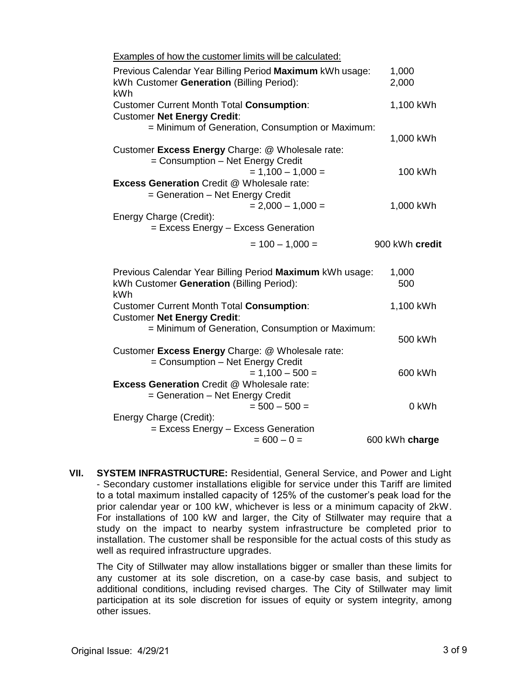| Examples of how the customer limits will be calculated:                                                      |                |
|--------------------------------------------------------------------------------------------------------------|----------------|
| Previous Calendar Year Billing Period Maximum kWh usage:<br>kWh Customer Generation (Billing Period):<br>kWh | 1,000<br>2,000 |
| <b>Customer Current Month Total Consumption:</b>                                                             | 1,100 kWh      |
| <b>Customer Net Energy Credit:</b>                                                                           |                |
| = Minimum of Generation, Consumption or Maximum:                                                             |                |
|                                                                                                              | 1,000 kWh      |
| Customer Excess Energy Charge: @ Wholesale rate:                                                             |                |
| = Consumption - Net Energy Credit                                                                            |                |
| $= 1,100 - 1,000 =$                                                                                          | 100 kWh        |
| <b>Excess Generation Credit @ Wholesale rate:</b>                                                            |                |
| = Generation - Net Energy Credit<br>$= 2,000 - 1,000 =$                                                      | 1,000 kWh      |
| Energy Charge (Credit):                                                                                      |                |
| = Excess Energy - Excess Generation                                                                          |                |
|                                                                                                              |                |
| $= 100 - 1,000 =$                                                                                            | 900 kWh credit |
| Previous Calendar Year Billing Period Maximum kWh usage:                                                     | 1,000          |
| kWh Customer Generation (Billing Period):<br>kWh                                                             | 500            |
| <b>Customer Current Month Total Consumption:</b>                                                             | 1,100 kWh      |
| <b>Customer Net Energy Credit:</b>                                                                           |                |
| = Minimum of Generation, Consumption or Maximum:                                                             |                |
|                                                                                                              | 500 kWh        |
| Customer Excess Energy Charge: @ Wholesale rate:                                                             |                |
|                                                                                                              |                |
| = Consumption - Net Energy Credit                                                                            |                |
| $= 1,100 - 500 =$                                                                                            | 600 kWh        |
| <b>Excess Generation Credit @ Wholesale rate:</b>                                                            |                |
| = Generation - Net Energy Credit                                                                             |                |
| $= 500 - 500 =$                                                                                              | 0 kWh          |
| Energy Charge (Credit):                                                                                      |                |
| = Excess Energy - Excess Generation<br>$= 600 - 0 =$                                                         | 600 kWh charge |

<span id="page-7-0"></span>**VII. SYSTEM INFRASTRUCTURE:** Residential, General Service, and Power and Light - Secondary customer installations eligible for service under this Tariff are limited to a total maximum installed capacity of 125% of the customer's peak load for the prior calendar year or 100 kW, whichever is less or a minimum capacity of 2kW. For installations of 100 kW and larger, the City of Stillwater may require that a study on the impact to nearby system infrastructure be completed prior to installation. The customer shall be responsible for the actual costs of this study as well as required infrastructure upgrades.

The City of Stillwater may allow installations bigger or smaller than these limits for any customer at its sole discretion, on a case-by case basis, and subject to additional conditions, including revised charges. The City of Stillwater may limit participation at its sole discretion for issues of equity or system integrity, among other issues.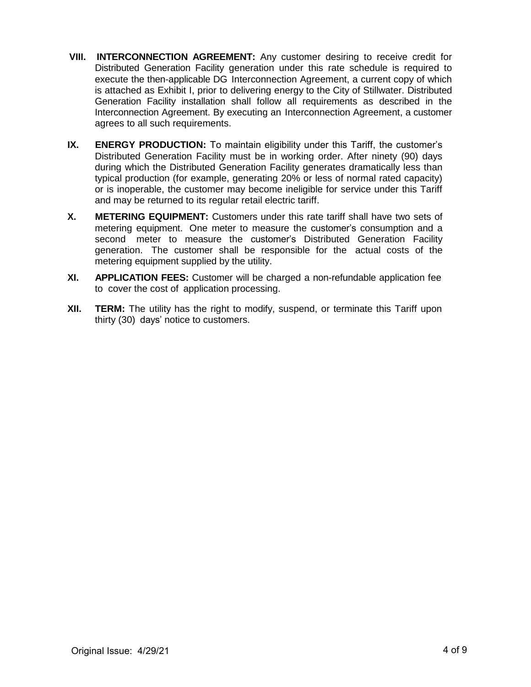- **VIII. INTERCONNECTION AGREEMENT:** Any customer desiring to receive credit for Distributed Generation Facility generation under this rate schedule is required to execute the then-applicable DG Interconnection Agreement, a current copy of which is attached as Exhibit I, prior to delivering energy to the City of Stillwater. Distributed Generation Facility installation shall follow all requirements as described in the Interconnection Agreement. By executing an Interconnection Agreement, a customer agrees to all such requirements.
- **IX. ENERGY PRODUCTION:** To maintain eligibility under this Tariff, the customer's Distributed Generation Facility must be in working order. After ninety (90) days during which the Distributed Generation Facility generates dramatically less than typical production (for example, generating 20% or less of normal rated capacity) or is inoperable, the customer may become ineligible for service under this Tariff and may be returned to its regular retail electric tariff.
- **X. METERING EQUIPMENT:** Customers under this rate tariff shall have two sets of metering equipment. One meter to measure the customer's consumption and a second meter to measure the customer's Distributed Generation Facility generation. The customer shall be responsible for the actual costs of the metering equipment supplied by the utility.
- **XI. APPLICATION FEES:** Customer will be charged a non-refundable application fee to cover the cost of application processing.
- **XII. TERM:** The utility has the right to modify, suspend, or terminate this Tariff upon thirty (30) days' notice to customers.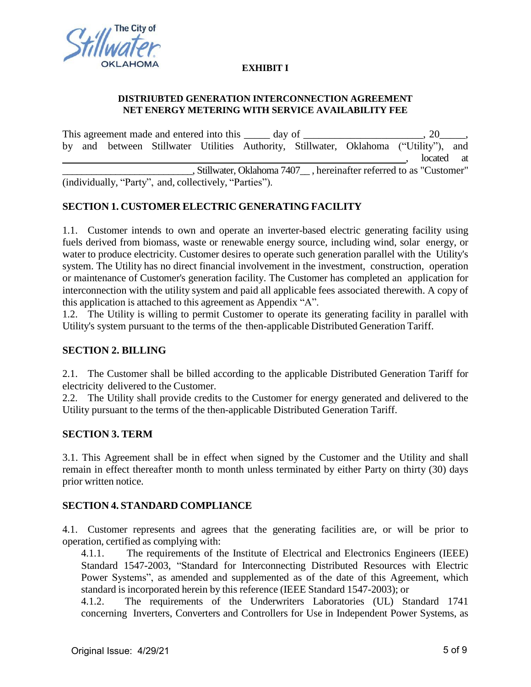

#### **EXHIBIT I**

#### **DISTRIUBTED GENERATION INTERCONNECTION AGREEMENT NET ENERGY METERING WITH SERVICE AVAILABILITY FEE**

This agreement made and entered into this \_\_\_\_\_\_ day of \_\_\_\_\_\_\_\_\_\_\_\_\_\_\_\_\_\_\_\_\_\_\_, 20\_\_\_\_ by and between Stillwater Utilities Authority, Stillwater, Oklahoma ("Utility"), and located at \_\_\_\_\_\_\_\_\_\_\_\_\_\_\_\_\_\_\_\_\_\_\_\_\_\_\_, Stillwater, Oklahoma 7407\_\_ , hereinafter referred to as "Customer" (individually, "Party", and, collectively, "Parties").

## **SECTION 1. CUSTOMER ELECTRIC GENERATING FACILITY**

1.1. Customer intends to own and operate an inverter-based electric generating facility using fuels derived from biomass, waste or renewable energy source, including wind, solar energy, or water to produce electricity. Customer desires to operate such generation parallel with the Utility's system. The Utility has no direct financial involvement in the investment, construction, operation or maintenance of Customer's generation facility. The Customer has completed an application for interconnection with the utility system and paid all applicable fees associated therewith. A copy of this application is attached to this agreement as Appendix "A".

1.2. The Utility is willing to permit Customer to operate its generating facility in parallel with Utility's system pursuant to the terms of the then-applicable Distributed Generation Tariff.

### **SECTION 2. BILLING**

2.1. The Customer shall be billed according to the applicable Distributed Generation Tariff for electricity delivered to the Customer.

2.2. The Utility shall provide credits to the Customer for energy generated and delivered to the Utility pursuant to the terms of the then-applicable Distributed Generation Tariff.

### **SECTION 3. TERM**

3.1. This Agreement shall be in effect when signed by the Customer and the Utility and shall remain in effect thereafter month to month unless terminated by either Party on thirty (30) days prior written notice.

### **SECTION 4. STANDARD COMPLIANCE**

4.1. Customer represents and agrees that the generating facilities are, or will be prior to operation, certified as complying with:

4.1.1. The requirements of the Institute of Electrical and Electronics Engineers (IEEE) Standard 1547-2003, "Standard for Interconnecting Distributed Resources with Electric Power Systems", as amended and supplemented as of the date of this Agreement, which standard is incorporated herein by this reference (IEEE Standard 1547-2003); or

4.1.2. The requirements of the Underwriters Laboratories (UL) Standard 1741 concerning Inverters, Converters and Controllers for Use in Independent Power Systems, as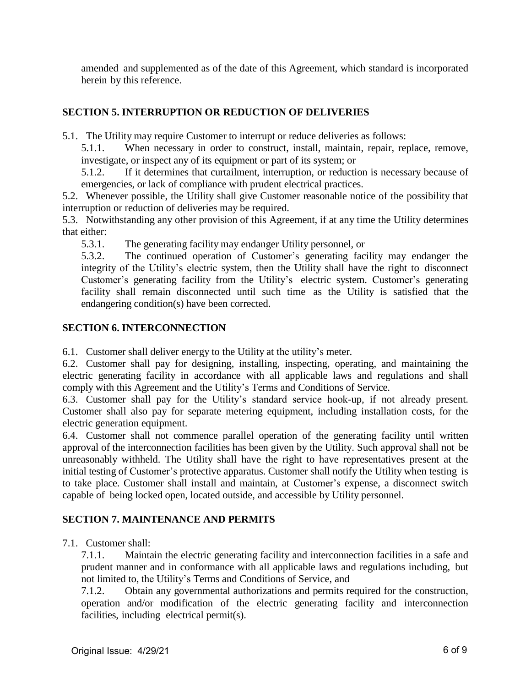amended and supplemented as of the date of this Agreement, which standard is incorporated herein by this reference.

## **SECTION 5. INTERRUPTION OR REDUCTION OF DELIVERIES**

5.1. The Utility may require Customer to interrupt or reduce deliveries as follows:

5.1.1. When necessary in order to construct, install, maintain, repair, replace, remove, investigate, or inspect any of its equipment or part of its system; or

5.1.2. If it determines that curtailment, interruption, or reduction is necessary because of emergencies, or lack of compliance with prudent electrical practices.

5.2. Whenever possible, the Utility shall give Customer reasonable notice of the possibility that interruption or reduction of deliveries may be required.

5.3. Notwithstanding any other provision of this Agreement, if at any time the Utility determines that either:

5.3.1. The generating facility may endanger Utility personnel, or

5.3.2. The continued operation of Customer's generating facility may endanger the integrity of the Utility's electric system, then the Utility shall have the right to disconnect Customer's generating facility from the Utility's electric system. Customer's generating facility shall remain disconnected until such time as the Utility is satisfied that the endangering condition(s) have been corrected.

## **SECTION 6. INTERCONNECTION**

6.1. Customer shall deliver energy to the Utility at the utility's meter.

6.2. Customer shall pay for designing, installing, inspecting, operating, and maintaining the electric generating facility in accordance with all applicable laws and regulations and shall comply with this Agreement and the Utility's Terms and Conditions of Service.

6.3. Customer shall pay for the Utility's standard service hook-up, if not already present. Customer shall also pay for separate metering equipment, including installation costs, for the electric generation equipment.

6.4. Customer shall not commence parallel operation of the generating facility until written approval of the interconnection facilities has been given by the Utility. Such approval shall not be unreasonably withheld. The Utility shall have the right to have representatives present at the initial testing of Customer's protective apparatus. Customer shall notify the Utility when testing is to take place. Customer shall install and maintain, at Customer's expense, a disconnect switch capable of being locked open, located outside, and accessible by Utility personnel.

## **SECTION 7. MAINTENANCE AND PERMITS**

7.1. Customer shall:

7.1.1. Maintain the electric generating facility and interconnection facilities in a safe and prudent manner and in conformance with all applicable laws and regulations including, but not limited to, the Utility's Terms and Conditions of Service, and

7.1.2. Obtain any governmental authorizations and permits required for the construction, operation and/or modification of the electric generating facility and interconnection facilities, including electrical permit(s).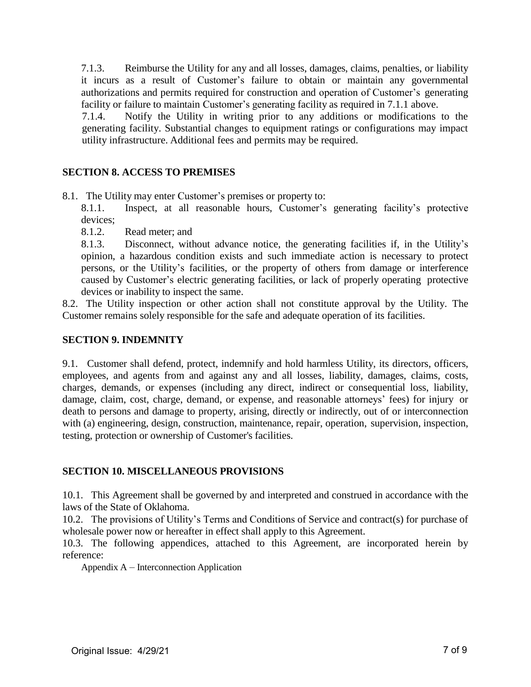7.1.3. Reimburse the Utility for any and all losses, damages, claims, penalties, or liability it incurs as a result of Customer's failure to obtain or maintain any governmental authorizations and permits required for construction and operation of Customer's generating facility or failure to maintain Customer's generating facility as required in 7.1.1 above.

7.1.4. Notify the Utility in writing prior to any additions or modifications to the generating facility. Substantial changes to equipment ratings or configurations may impact utility infrastructure. Additional fees and permits may be required.

## **SECTION 8. ACCESS TO PREMISES**

8.1. The Utility may enter Customer's premises or property to:

8.1.1. Inspect, at all reasonable hours, Customer's generating facility's protective devices;

8.1.2. Read meter; and

8.1.3. Disconnect, without advance notice, the generating facilities if, in the Utility's opinion, a hazardous condition exists and such immediate action is necessary to protect persons, or the Utility's facilities, or the property of others from damage or interference caused by Customer's electric generating facilities, or lack of properly operating protective devices or inability to inspect the same.

8.2. The Utility inspection or other action shall not constitute approval by the Utility. The Customer remains solely responsible for the safe and adequate operation of its facilities.

## **SECTION 9. INDEMNITY**

9.1. Customer shall defend, protect, indemnify and hold harmless Utility, its directors, officers, employees, and agents from and against any and all losses, liability, damages, claims, costs, charges, demands, or expenses (including any direct, indirect or consequential loss, liability, damage, claim, cost, charge, demand, or expense, and reasonable attorneys' fees) for injury or death to persons and damage to property, arising, directly or indirectly, out of or interconnection with (a) engineering, design, construction, maintenance, repair, operation, supervision, inspection, testing, protection or ownership of Customer's facilities.

## **SECTION 10. MISCELLANEOUS PROVISIONS**

10.1. This Agreement shall be governed by and interpreted and construed in accordance with the laws of the State of Oklahoma.

10.2. The provisions of Utility's Terms and Conditions of Service and contract(s) for purchase of wholesale power now or hereafter in effect shall apply to this Agreement.

10.3. The following appendices, attached to this Agreement, are incorporated herein by reference:

Appendix A – Interconnection Application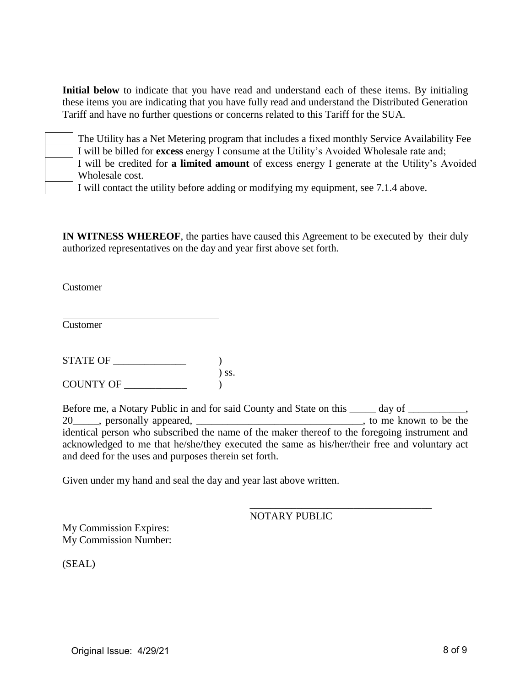**Initial below** to indicate that you have read and understand each of these items. By initialing these items you are indicating that you have fully read and understand the Distributed Generation Tariff and have no further questions or concerns related to this Tariff for the SUA.



The Utility has a Net Metering program that includes a fixed monthly Service Availability Fee I will be billed for **excess** energy I consume at the Utility's Avoided Wholesale rate and;

I will be credited for **a limited amount** of excess energy I generate at the Utility's Avoided Wholesale cost.

I will contact the utility before adding or modifying my equipment, see 7.1.4 above.

**IN WITNESS WHEREOF**, the parties have caused this Agreement to be executed by their duly authorized representatives on the day and year first above set forth.

Customer

Customer

STATE OF \_\_\_\_\_\_\_\_\_\_\_\_\_\_ ) ) ss. COUNTY OF \_\_\_\_\_\_\_

Before me, a Notary Public in and for said County and State on this \_\_\_\_\_ day of \_\_\_\_\_\_\_\_\_, 20 repressionally appeared, the set of the set of the set of the set of the set of the set of the set of the set of the set of the set of the set of the set of the set of the set of the set of the set of the set of the set identical person who subscribed the name of the maker thereof to the foregoing instrument and acknowledged to me that he/she/they executed the same as his/her/their free and voluntary act and deed for the uses and purposes therein set forth.

Given under my hand and seal the day and year last above written.

\_\_\_\_\_\_\_\_\_\_\_\_\_\_\_\_\_\_\_\_\_\_\_\_\_\_\_\_\_\_\_\_\_\_\_ NOTARY PUBLIC

My Commission Expires: My Commission Number:

(SEAL)